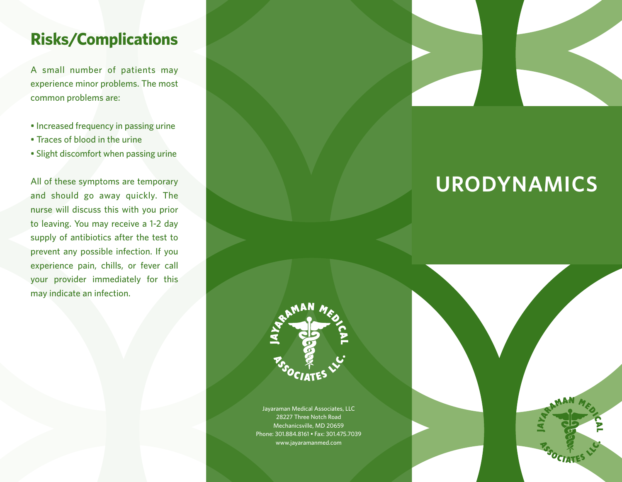# **Risks/Complications**

A small number of patients may experience minor problems. The most common problems are:

- Increased frequency in passing urine
- Traces of blood in the urine
- Slight discomfort when passing urine

All of these symptoms are temporary and should go away quickly. The nurse will discuss this with you prior to leaving. You may receive a 1-2 day supply of antibiotics after the test to prevent any possible infection. If you experience pain, chills, or fever call your provider immediately for this may indicate an infection.



# **URODYNAMICS**



Jayaraman Medical Associates, LLC 28227 Three Notch Road Mechanicsville, MD 20659 Phone: 301.884.8161 • Fax: 301.475.7039 www.jayaramanmed.com